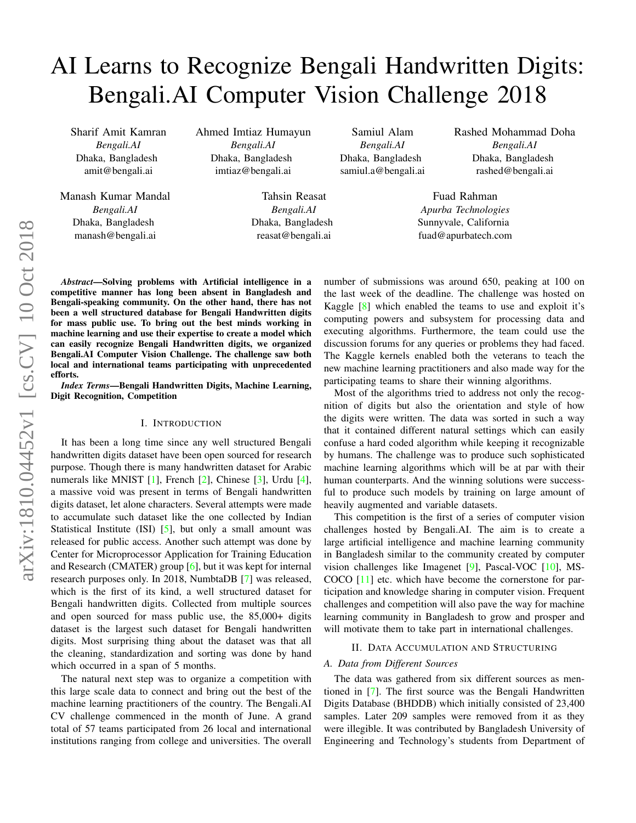# AI Learns to Recognize Bengali Handwritten Digits: Bengali.AI Computer Vision Challenge 2018

Sharif Amit Kamran *Bengali.AI* Dhaka, Bangladesh amit@bengali.ai

Manash Kumar Mandal *Bengali.AI* Dhaka, Bangladesh manash@bengali.ai

Ahmed Imtiaz Humayun *Bengali.AI* Dhaka, Bangladesh imtiaz@bengali.ai

> Tahsin Reasat *Bengali.AI* Dhaka, Bangladesh reasat@bengali.ai

Samiul Alam *Bengali.AI* Dhaka, Bangladesh samiul.a@bengali.ai Rashed Mohammad Doha *Bengali.AI* Dhaka, Bangladesh rashed@bengali.ai

Fuad Rahman *Apurba Technologies* Sunnyvale, California fuad@apurbatech.com

*Abstract*—Solving problems with Artificial intelligence in a competitive manner has long been absent in Bangladesh and Bengali-speaking community. On the other hand, there has not been a well structured database for Bengali Handwritten digits for mass public use. To bring out the best minds working in machine learning and use their expertise to create a model which can easily recognize Bengali Handwritten digits, we organized Bengali.AI Computer Vision Challenge. The challenge saw both local and international teams participating with unprecedented efforts.

*Index Terms*—Bengali Handwritten Digits, Machine Learning, Digit Recognition, Competition

# I. INTRODUCTION

It has been a long time since any well structured Bengali handwritten digits dataset have been open sourced for research purpose. Though there is many handwritten dataset for Arabic numerals like MNIST [\[1\]](#page-4-0), French [\[2\]](#page-4-1), Chinese [\[3\]](#page-4-2), Urdu [\[4\]](#page-4-3), a massive void was present in terms of Bengali handwritten digits dataset, let alone characters. Several attempts were made to accumulate such dataset like the one collected by Indian Statistical Institute *(ISI)* [\[5\]](#page-4-4), but only a small amount was released for public access. Another such attempt was done by Center for Microprocessor Application for Training Education and Research (CMATER) group [\[6\]](#page-4-5), but it was kept for internal research purposes only. In 2018, NumbtaDB [\[7\]](#page-4-6) was released, which is the first of its kind, a well structured dataset for Bengali handwritten digits. Collected from multiple sources and open sourced for mass public use, the 85,000+ digits dataset is the largest such dataset for Bengali handwritten digits. Most surprising thing about the dataset was that all the cleaning, standardization and sorting was done by hand which occurred in a span of 5 months.

The natural next step was to organize a competition with this large scale data to connect and bring out the best of the machine learning practitioners of the country. The Bengali.AI CV challenge commenced in the month of June. A grand total of 57 teams participated from 26 local and international institutions ranging from college and universities. The overall number of submissions was around 650, peaking at 100 on the last week of the deadline. The challenge was hosted on Kaggle [\[8\]](#page-4-7) which enabled the teams to use and exploit it's computing powers and subsystem for processing data and executing algorithms. Furthermore, the team could use the discussion forums for any queries or problems they had faced. The Kaggle kernels enabled both the veterans to teach the new machine learning practitioners and also made way for the participating teams to share their winning algorithms.

Most of the algorithms tried to address not only the recognition of digits but also the orientation and style of how the digits were written. The data was sorted in such a way that it contained different natural settings which can easily confuse a hard coded algorithm while keeping it recognizable by humans. The challenge was to produce such sophisticated machine learning algorithms which will be at par with their human counterparts. And the winning solutions were successful to produce such models by training on large amount of heavily augmented and variable datasets.

This competition is the first of a series of computer vision challenges hosted by Bengali.AI. The aim is to create a large artificial intelligence and machine learning community in Bangladesh similar to the community created by computer vision challenges like Imagenet [\[9\]](#page-4-8), Pascal-VOC [\[10\]](#page-4-9), MS-COCO [\[11\]](#page-4-10) etc. which have become the cornerstone for participation and knowledge sharing in computer vision. Frequent challenges and competition will also pave the way for machine learning community in Bangladesh to grow and prosper and will motivate them to take part in international challenges.

## II. DATA ACCUMULATION AND STRUCTURING

# *A. Data from Different Sources*

The data was gathered from six different sources as mentioned in [\[7\]](#page-4-6). The first source was the Bengali Handwritten Digits Database (BHDDB) which initially consisted of 23,400 samples. Later 209 samples were removed from it as they were illegible. It was contributed by Bangladesh University of Engineering and Technology's students from Department of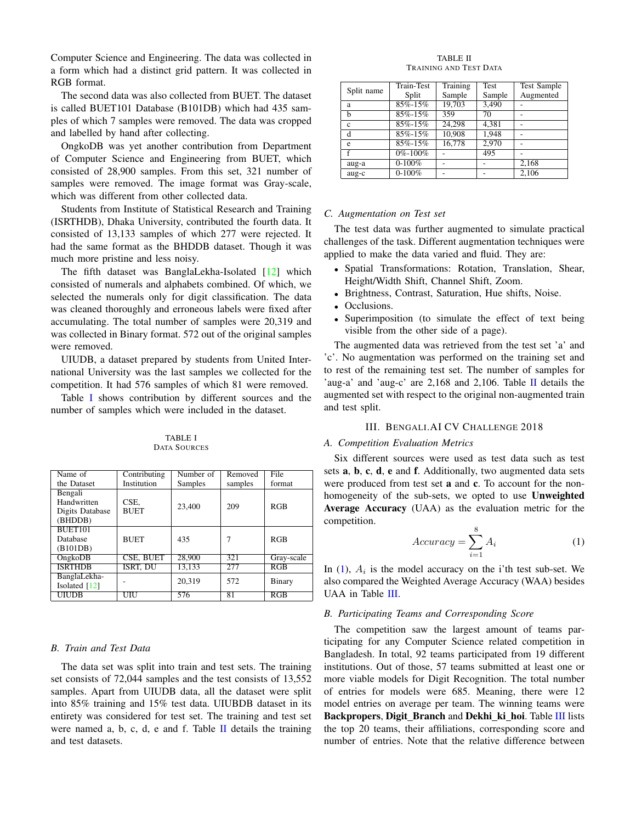Computer Science and Engineering. The data was collected in a form which had a distinct grid pattern. It was collected in RGB format.

The second data was also collected from BUET. The dataset is called BUET101 Database (B101DB) which had 435 samples of which 7 samples were removed. The data was cropped and labelled by hand after collecting.

OngkoDB was yet another contribution from Department of Computer Science and Engineering from BUET, which consisted of 28,900 samples. From this set, 321 number of samples were removed. The image format was Gray-scale, which was different from other collected data.

Students from Institute of Statistical Research and Training (ISRTHDB), Dhaka University, contributed the fourth data. It consisted of 13,133 samples of which 277 were rejected. It had the same format as the BHDDB dataset. Though it was much more pristine and less noisy.

The fifth dataset was BanglaLekha-Isolated [\[12\]](#page-4-11) which consisted of numerals and alphabets combined. Of which, we selected the numerals only for digit classification. The data was cleaned thoroughly and erroneous labels were fixed after accumulating. The total number of samples were 20,319 and was collected in Binary format. 572 out of the original samples were removed.

UIUDB, a dataset prepared by students from United International University was the last samples we collected for the competition. It had 576 samples of which 81 were removed.

Table [I](#page-1-0) shows contribution by different sources and the number of samples which were included in the dataset.

TABLE I DATA SOURCES

<span id="page-1-0"></span>

| Name of         | Contributing    | Number of | Removed | File       |
|-----------------|-----------------|-----------|---------|------------|
| the Dataset     | Institution     | Samples   | samples | format     |
| Bengali         |                 |           |         |            |
| Handwritten     | CSE.            |           | 209     | RGB        |
| Digits Database | <b>BUET</b>     | 23,400    |         |            |
| (BHDDB)         |                 |           |         |            |
| BUET101         |                 |           |         |            |
| Database        | <b>BUET</b>     | 435       |         | RGB        |
| (B101DB)        |                 |           |         |            |
| OngkoDB         | CSE, BUET       | 28,900    | 321     | Gray-scale |
| <b>ISRTHDB</b>  | <b>ISRT. DU</b> | 13.133    | 277     | RGB        |
| BanglaLekha-    |                 | 20,319    | 572     |            |
| Isolated [12]   |                 |           |         | Binary     |
| <b>UIUDB</b>    | UIU             | 576       | 81      | RGB        |

## *B. Train and Test Data*

The data set was split into train and test sets. The training set consists of 72,044 samples and the test consists of 13,552 samples. Apart from UIUDB data, all the dataset were split into 85% training and 15% test data. UIUBDB dataset in its entirety was considered for test set. The training and test set were named a, b, c, d, e and f. Table [II](#page-1-1) details the training and test datasets.

TABLE II TRAINING AND TEST DATA

<span id="page-1-1"></span>

| Split name | <b>Train-Test</b> | Training | <b>Test</b> | Test Sample |
|------------|-------------------|----------|-------------|-------------|
|            | Split             | Sample   | Sample      | Augmented   |
| a          | 85%-15%           | 19,703   | 3,490       |             |
| h          | 85%-15%           | 359      | 70          |             |
| c          | 85%-15%           | 24,298   | 4,381       |             |
| d          | 85%-15%           | 10,908   | 1.948       |             |
| e          | 85%-15%           | 16,778   | 2.970       |             |
|            | 0%-100%           |          | 495         |             |
| aug-a      | $0-100%$          |          |             | 2,168       |
| aug-c      | $0-100%$          |          |             | 2,106       |

#### *C. Augmentation on Test set*

The test data was further augmented to simulate practical challenges of the task. Different augmentation techniques were applied to make the data varied and fluid. They are:

- Spatial Transformations: Rotation, Translation, Shear, Height/Width Shift, Channel Shift, Zoom.
- Brightness, Contrast, Saturation, Hue shifts, Noise.
- Occlusions.
- Superimposition (to simulate the effect of text being visible from the other side of a page).

The augmented data was retrieved from the test set 'a' and 'c'. No augmentation was performed on the training set and to rest of the remaining test set. The number of samples for 'aug-a' and 'aug-c' are 2,168 and 2,106. Table [II](#page-1-1) details the augmented set with respect to the original non-augmented train and test split.

## III. BENGALI.AI CV CHALLENGE 2018

# *A. Competition Evaluation Metrics*

Six different sources were used as test data such as test sets a, b, c, d, e and f. Additionally, two augmented data sets were produced from test set **a** and **c**. To account for the nonhomogeneity of the sub-sets, we opted to use Unweighted Average Accuracy (UAA) as the evaluation metric for the competition.

<span id="page-1-2"></span>
$$
Accuracy = \sum_{i=1}^{8} A_i
$$
 (1)

In  $(1)$ ,  $A_i$  is the model accuracy on the i'th test sub-set. We also compared the Weighted Average Accuracy (WAA) besides UAA in Table [III.](#page-2-0)

#### *B. Participating Teams and Corresponding Score*

The competition saw the largest amount of teams participating for any Computer Science related competition in Bangladesh. In total, 92 teams participated from 19 different institutions. Out of those, 57 teams submitted at least one or more viable models for Digit Recognition. The total number of entries for models were 685. Meaning, there were 12 model entries on average per team. The winning teams were Backpropers, Digit Branch and Dekhi ki hoi. Table [III](#page-2-0) lists the top 20 teams, their affiliations, corresponding score and number of entries. Note that the relative difference between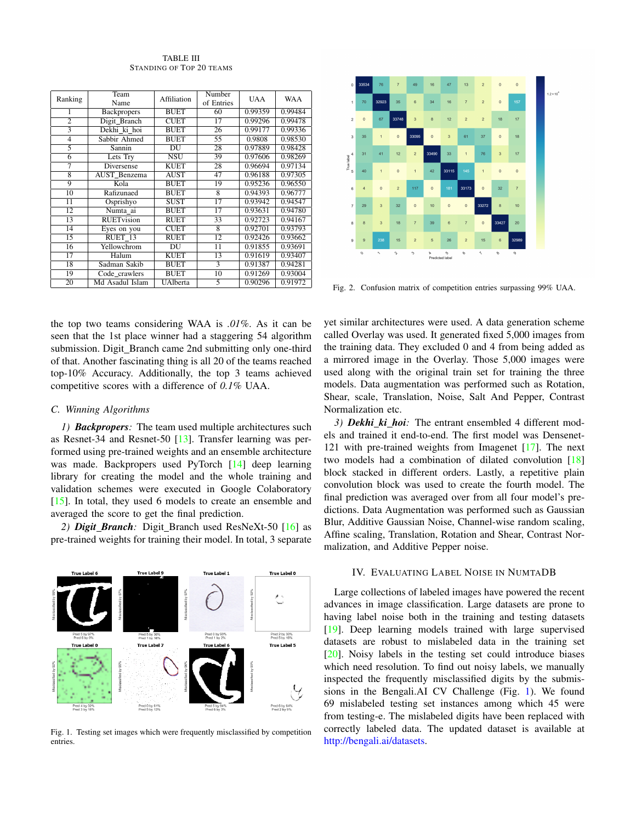TABLE III STANDING OF TOP 20 TEAMS

<span id="page-2-0"></span>

| Ranking         | Team               | Affiliation | Number     |            | <b>WAA</b> |
|-----------------|--------------------|-------------|------------|------------|------------|
|                 | Name               |             | of Entries | <b>UAA</b> |            |
| 1               | <b>Backpropers</b> | <b>BUET</b> | 60         | 0.99359    | 0.99484    |
| $\overline{2}$  | Digit Branch       | <b>CUET</b> | 17         | 0.99296    | 0.99478    |
| 3               | Dekhi ki hoi       | <b>BUET</b> | 26         | 0.99177    | 0.99336    |
| $\overline{4}$  | Sabbir Ahmed       | <b>BUET</b> | 55         | 0.9808     | 0.98530    |
| 5               | Sannin             | DU          | 28         | 0.97889    | 0.98428    |
| 6               | Lets Try           | <b>NSU</b>  | 39         | 0.97606    | 0.98269    |
| 7               | Diversense         | <b>KUET</b> | 28         | 0.96694    | 0.97134    |
| 8               | AUST Benzema       | <b>AUST</b> | 47         | 0.96188    | 0.97305    |
| 9               | Kola               | <b>BUET</b> | 19         | 0.95236    | 0.96550    |
| 10              | Rafizunaed         | <b>BUET</b> | 8          | 0.94393    | 0.96777    |
| $\overline{11}$ | Osprishyo          | <b>SUST</b> | 17         | 0.93942    | 0.94547    |
| 12              | Numta ai           | <b>BUET</b> | 17         | 0.93631    | 0.94780    |
| 13              | <b>RUET</b> vision | RUET        | 33         | 0.92723    | 0.94167    |
| 14              | Eyes on you        | <b>CUET</b> | 8          | 0.92701    | 0.93793    |
| 15              | RUET <sub>13</sub> | RUET        | 12         | 0.92426    | 0.93662    |
| 16              | Yellowchrom        | DU          | 11         | 0.91855    | 0.93691    |
| 17              | Halum              | <b>KUET</b> | 13         | 0.91619    | 0.93407    |
| 18              | Sadman Sakib       | <b>BUET</b> | 3          | 0.91387    | 0.94281    |
| 19              | Code_crawlers      | <b>BUET</b> | 10         | 0.91269    | 0.93004    |
| 20              | Md Asadul Islam    | UAlberta    | 5          | 0.90296    | 0.91972    |



Fig. 2. Confusion matrix of competition entries surpassing 99% UAA.

the top two teams considering WAA is *.01%*. As it can be seen that the 1st place winner had a staggering 54 algorithm submission. Digit\_Branch came 2nd submitting only one-third of that. Another fascinating thing is all 20 of the teams reached top-10% Accuracy. Additionally, the top 3 teams achieved competitive scores with a difference of *0.1%* UAA.

# *C. Winning Algorithms*

*1) Backpropers:* The team used multiple architectures such as Resnet-34 and Resnet-50 [\[13\]](#page-4-12). Transfer learning was performed using pre-trained weights and an ensemble architecture was made. Backpropers used PyTorch [\[14\]](#page-4-13) deep learning library for creating the model and the whole training and validation schemes were executed in Google Colaboratory [\[15\]](#page-4-14). In total, they used 6 models to create an ensemble and averaged the score to get the final prediction.

*2) Digit Branch:* Digit Branch used ResNeXt-50 [\[16\]](#page-4-15) as pre-trained weights for training their model. In total, 3 separate



<span id="page-2-1"></span>Fig. 1. Testing set images which were frequently misclassified by competition entries.

yet similar architectures were used. A data generation scheme called Overlay was used. It generated fixed 5,000 images from the training data. They excluded 0 and 4 from being added as a mirrored image in the Overlay. Those 5,000 images were used along with the original train set for training the three models. Data augmentation was performed such as Rotation, Shear, scale, Translation, Noise, Salt And Pepper, Contrast Normalization etc.

*3) Dekhi ki hoi:* The entrant ensembled 4 different models and trained it end-to-end. The first model was Densenet-121 with pre-trained weights from Imagenet [\[17\]](#page-4-16). The next two models had a combination of dilated convolution [\[18\]](#page-4-17) block stacked in different orders. Lastly, a repetitive plain convolution block was used to create the fourth model. The final prediction was averaged over from all four model's predictions. Data Augmentation was performed such as Gaussian Blur, Additive Gaussian Noise, Channel-wise random scaling, Affine scaling, Translation, Rotation and Shear, Contrast Normalization, and Additive Pepper noise.

### IV. EVALUATING LABEL NOISE IN NUMTADB

Large collections of labeled images have powered the recent advances in image classification. Large datasets are prone to having label noise both in the training and testing datasets [\[19\]](#page-4-18). Deep learning models trained with large supervised datasets are robust to mislabeled data in the training set [\[20\]](#page-4-19). Noisy labels in the testing set could introduce biases which need resolution. To find out noisy labels, we manually inspected the frequently misclassified digits by the submissions in the Bengali.AI CV Challenge (Fig. [1\)](#page-2-1). We found 69 mislabeled testing set instances among which 45 were from testing-e. The mislabeled digits have been replaced with correctly labeled data. The updated dataset is available at [http://bengali.ai/datasets.](http://bengali.ai/datasets)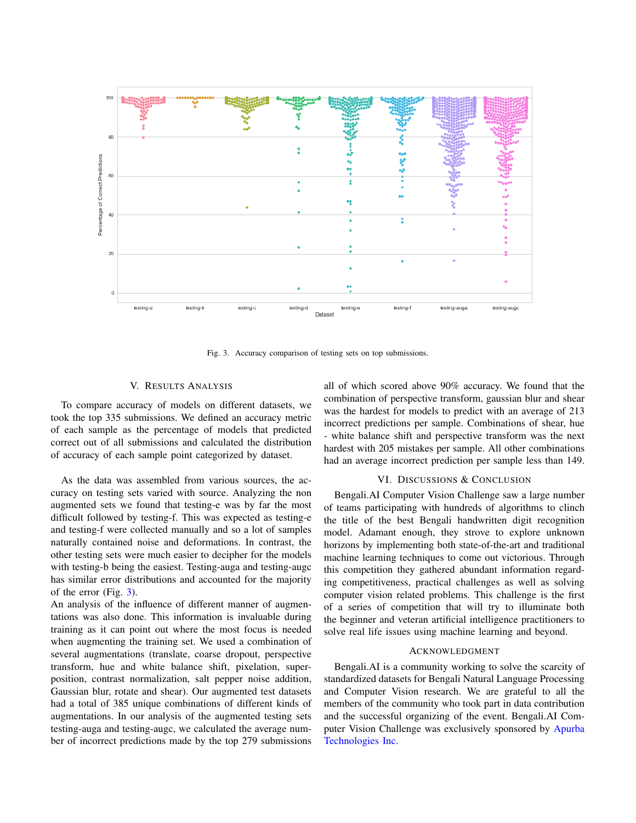

<span id="page-3-0"></span>Fig. 3. Accuracy comparison of testing sets on top submissions.

#### V. RESULTS ANALYSIS

To compare accuracy of models on different datasets, we took the top 335 submissions. We defined an accuracy metric of each sample as the percentage of models that predicted correct out of all submissions and calculated the distribution of accuracy of each sample point categorized by dataset.

As the data was assembled from various sources, the accuracy on testing sets varied with source. Analyzing the non augmented sets we found that testing-e was by far the most difficult followed by testing-f. This was expected as testing-e and testing-f were collected manually and so a lot of samples naturally contained noise and deformations. In contrast, the other testing sets were much easier to decipher for the models with testing-b being the easiest. Testing-auga and testing-augc has similar error distributions and accounted for the majority of the error (Fig. [3\)](#page-3-0).

An analysis of the influence of different manner of augmentations was also done. This information is invaluable during training as it can point out where the most focus is needed when augmenting the training set. We used a combination of several augmentations (translate, coarse dropout, perspective transform, hue and white balance shift, pixelation, superposition, contrast normalization, salt pepper noise addition, Gaussian blur, rotate and shear). Our augmented test datasets had a total of 385 unique combinations of different kinds of augmentations. In our analysis of the augmented testing sets testing-auga and testing-augc, we calculated the average number of incorrect predictions made by the top 279 submissions

all of which scored above 90% accuracy. We found that the combination of perspective transform, gaussian blur and shear was the hardest for models to predict with an average of 213 incorrect predictions per sample. Combinations of shear, hue - white balance shift and perspective transform was the next hardest with 205 mistakes per sample. All other combinations had an average incorrect prediction per sample less than 149.

# VI. DISCUSSIONS & CONCLUSION

Bengali.AI Computer Vision Challenge saw a large number of teams participating with hundreds of algorithms to clinch the title of the best Bengali handwritten digit recognition model. Adamant enough, they strove to explore unknown horizons by implementing both state-of-the-art and traditional machine learning techniques to come out victorious. Through this competition they gathered abundant information regarding competitiveness, practical challenges as well as solving computer vision related problems. This challenge is the first of a series of competition that will try to illuminate both the beginner and veteran artificial intelligence practitioners to solve real life issues using machine learning and beyond.

# ACKNOWLEDGMENT

Bengali.AI is a community working to solve the scarcity of standardized datasets for Bengali Natural Language Processing and Computer Vision research. We are grateful to all the members of the community who took part in data contribution and the successful organizing of the event. Bengali.AI Computer Vision Challenge was exclusively sponsored by [Apurba](http://www.apurbatech.com/) [Technologies Inc.](http://www.apurbatech.com/)